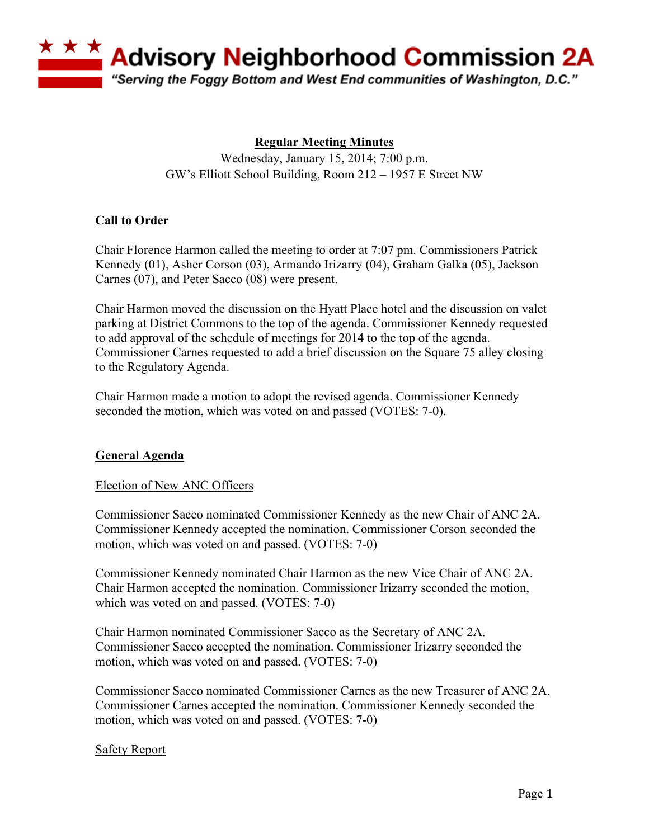

# **Regular Meeting Minutes**

Wednesday, January 15, 2014; 7:00 p.m. GW's Elliott School Building, Room 212 – 1957 E Street NW

# **Call to Order**

Chair Florence Harmon called the meeting to order at 7:07 pm. Commissioners Patrick Kennedy (01), Asher Corson (03), Armando Irizarry (04), Graham Galka (05), Jackson Carnes (07), and Peter Sacco (08) were present.

Chair Harmon moved the discussion on the Hyatt Place hotel and the discussion on valet parking at District Commons to the top of the agenda. Commissioner Kennedy requested to add approval of the schedule of meetings for 2014 to the top of the agenda. Commissioner Carnes requested to add a brief discussion on the Square 75 alley closing to the Regulatory Agenda.

Chair Harmon made a motion to adopt the revised agenda. Commissioner Kennedy seconded the motion, which was voted on and passed (VOTES: 7-0).

## **General Agenda**

### Election of New ANC Officers

Commissioner Sacco nominated Commissioner Kennedy as the new Chair of ANC 2A. Commissioner Kennedy accepted the nomination. Commissioner Corson seconded the motion, which was voted on and passed. (VOTES: 7-0)

Commissioner Kennedy nominated Chair Harmon as the new Vice Chair of ANC 2A. Chair Harmon accepted the nomination. Commissioner Irizarry seconded the motion, which was voted on and passed. (VOTES: 7-0)

Chair Harmon nominated Commissioner Sacco as the Secretary of ANC 2A. Commissioner Sacco accepted the nomination. Commissioner Irizarry seconded the motion, which was voted on and passed. (VOTES: 7-0)

Commissioner Sacco nominated Commissioner Carnes as the new Treasurer of ANC 2A. Commissioner Carnes accepted the nomination. Commissioner Kennedy seconded the motion, which was voted on and passed. (VOTES: 7-0)

### Safety Report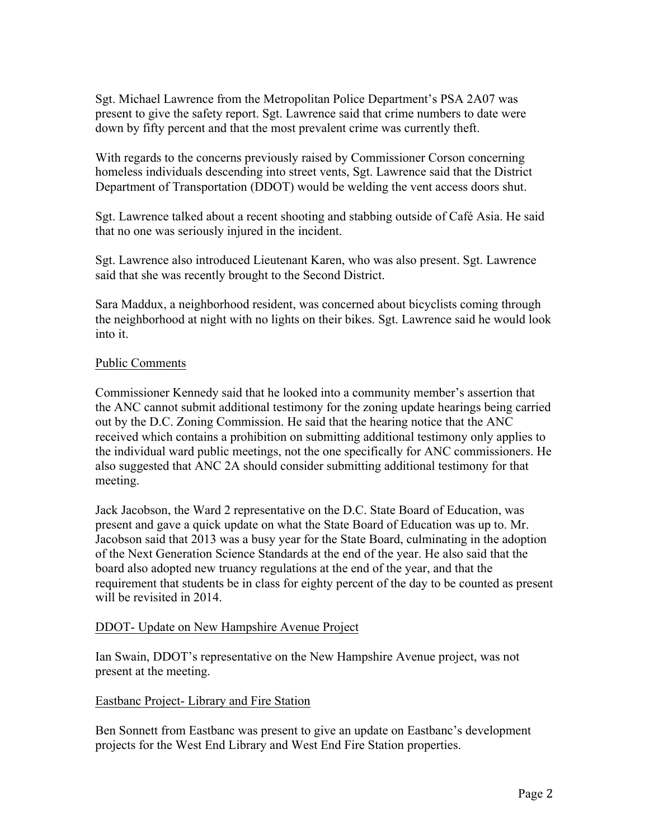Sgt. Michael Lawrence from the Metropolitan Police Department's PSA 2A07 was present to give the safety report. Sgt. Lawrence said that crime numbers to date were down by fifty percent and that the most prevalent crime was currently theft.

With regards to the concerns previously raised by Commissioner Corson concerning homeless individuals descending into street vents, Sgt. Lawrence said that the District Department of Transportation (DDOT) would be welding the vent access doors shut.

Sgt. Lawrence talked about a recent shooting and stabbing outside of Café Asia. He said that no one was seriously injured in the incident.

Sgt. Lawrence also introduced Lieutenant Karen, who was also present. Sgt. Lawrence said that she was recently brought to the Second District.

Sara Maddux, a neighborhood resident, was concerned about bicyclists coming through the neighborhood at night with no lights on their bikes. Sgt. Lawrence said he would look into it.

### Public Comments

Commissioner Kennedy said that he looked into a community member's assertion that the ANC cannot submit additional testimony for the zoning update hearings being carried out by the D.C. Zoning Commission. He said that the hearing notice that the ANC received which contains a prohibition on submitting additional testimony only applies to the individual ward public meetings, not the one specifically for ANC commissioners. He also suggested that ANC 2A should consider submitting additional testimony for that meeting.

Jack Jacobson, the Ward 2 representative on the D.C. State Board of Education, was present and gave a quick update on what the State Board of Education was up to. Mr. Jacobson said that 2013 was a busy year for the State Board, culminating in the adoption of the Next Generation Science Standards at the end of the year. He also said that the board also adopted new truancy regulations at the end of the year, and that the requirement that students be in class for eighty percent of the day to be counted as present will be revisited in 2014.

### DDOT- Update on New Hampshire Avenue Project

Ian Swain, DDOT's representative on the New Hampshire Avenue project, was not present at the meeting.

### Eastbanc Project- Library and Fire Station

Ben Sonnett from Eastbanc was present to give an update on Eastbanc's development projects for the West End Library and West End Fire Station properties.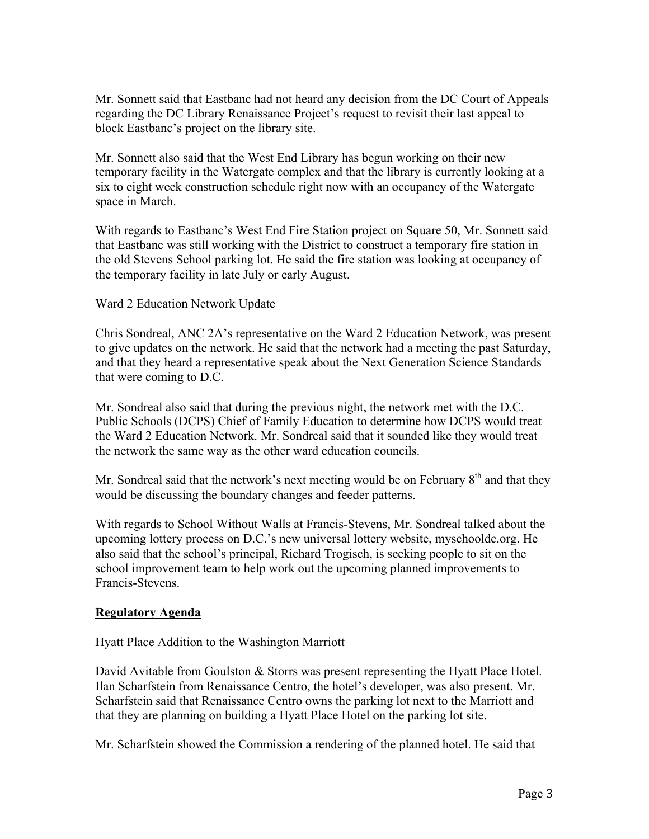Mr. Sonnett said that Eastbanc had not heard any decision from the DC Court of Appeals regarding the DC Library Renaissance Project's request to revisit their last appeal to block Eastbanc's project on the library site.

Mr. Sonnett also said that the West End Library has begun working on their new temporary facility in the Watergate complex and that the library is currently looking at a six to eight week construction schedule right now with an occupancy of the Watergate space in March.

With regards to Eastbanc's West End Fire Station project on Square 50, Mr. Sonnett said that Eastbanc was still working with the District to construct a temporary fire station in the old Stevens School parking lot. He said the fire station was looking at occupancy of the temporary facility in late July or early August.

### Ward 2 Education Network Update

Chris Sondreal, ANC 2A's representative on the Ward 2 Education Network, was present to give updates on the network. He said that the network had a meeting the past Saturday, and that they heard a representative speak about the Next Generation Science Standards that were coming to D.C.

Mr. Sondreal also said that during the previous night, the network met with the D.C. Public Schools (DCPS) Chief of Family Education to determine how DCPS would treat the Ward 2 Education Network. Mr. Sondreal said that it sounded like they would treat the network the same way as the other ward education councils.

Mr. Sondreal said that the network's next meeting would be on February  $8<sup>th</sup>$  and that they would be discussing the boundary changes and feeder patterns.

With regards to School Without Walls at Francis-Stevens, Mr. Sondreal talked about the upcoming lottery process on D.C.'s new universal lottery website, myschooldc.org. He also said that the school's principal, Richard Trogisch, is seeking people to sit on the school improvement team to help work out the upcoming planned improvements to Francis-Stevens.

### **Regulatory Agenda**

### Hyatt Place Addition to the Washington Marriott

David Avitable from Goulston & Storrs was present representing the Hyatt Place Hotel. Ilan Scharfstein from Renaissance Centro, the hotel's developer, was also present. Mr. Scharfstein said that Renaissance Centro owns the parking lot next to the Marriott and that they are planning on building a Hyatt Place Hotel on the parking lot site.

Mr. Scharfstein showed the Commission a rendering of the planned hotel. He said that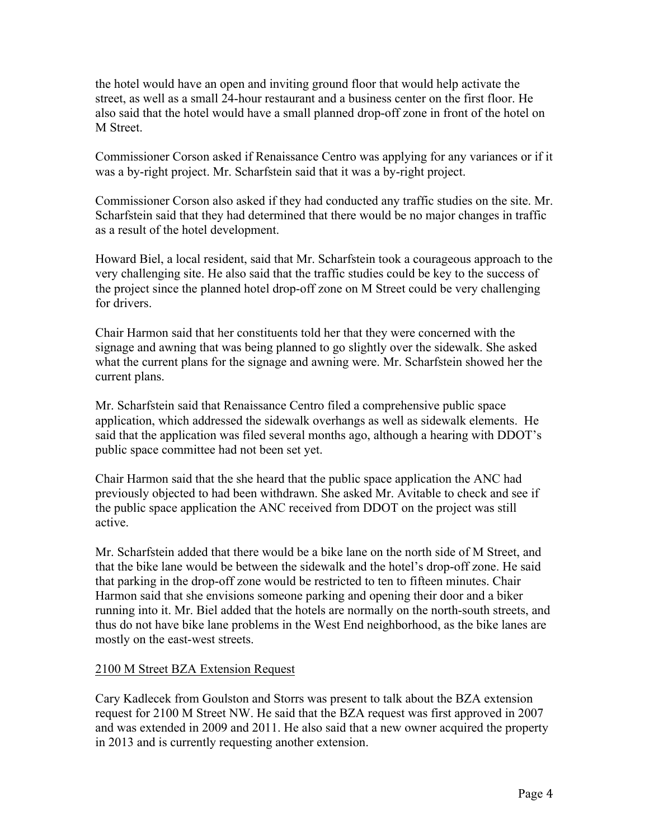the hotel would have an open and inviting ground floor that would help activate the street, as well as a small 24-hour restaurant and a business center on the first floor. He also said that the hotel would have a small planned drop-off zone in front of the hotel on M Street.

Commissioner Corson asked if Renaissance Centro was applying for any variances or if it was a by-right project. Mr. Scharfstein said that it was a by-right project.

Commissioner Corson also asked if they had conducted any traffic studies on the site. Mr. Scharfstein said that they had determined that there would be no major changes in traffic as a result of the hotel development.

Howard Biel, a local resident, said that Mr. Scharfstein took a courageous approach to the very challenging site. He also said that the traffic studies could be key to the success of the project since the planned hotel drop-off zone on M Street could be very challenging for drivers.

Chair Harmon said that her constituents told her that they were concerned with the signage and awning that was being planned to go slightly over the sidewalk. She asked what the current plans for the signage and awning were. Mr. Scharfstein showed her the current plans.

Mr. Scharfstein said that Renaissance Centro filed a comprehensive public space application, which addressed the sidewalk overhangs as well as sidewalk elements. He said that the application was filed several months ago, although a hearing with DDOT's public space committee had not been set yet.

Chair Harmon said that the she heard that the public space application the ANC had previously objected to had been withdrawn. She asked Mr. Avitable to check and see if the public space application the ANC received from DDOT on the project was still active.

Mr. Scharfstein added that there would be a bike lane on the north side of M Street, and that the bike lane would be between the sidewalk and the hotel's drop-off zone. He said that parking in the drop-off zone would be restricted to ten to fifteen minutes. Chair Harmon said that she envisions someone parking and opening their door and a biker running into it. Mr. Biel added that the hotels are normally on the north-south streets, and thus do not have bike lane problems in the West End neighborhood, as the bike lanes are mostly on the east-west streets.

## 2100 M Street BZA Extension Request

Cary Kadlecek from Goulston and Storrs was present to talk about the BZA extension request for 2100 M Street NW. He said that the BZA request was first approved in 2007 and was extended in 2009 and 2011. He also said that a new owner acquired the property in 2013 and is currently requesting another extension.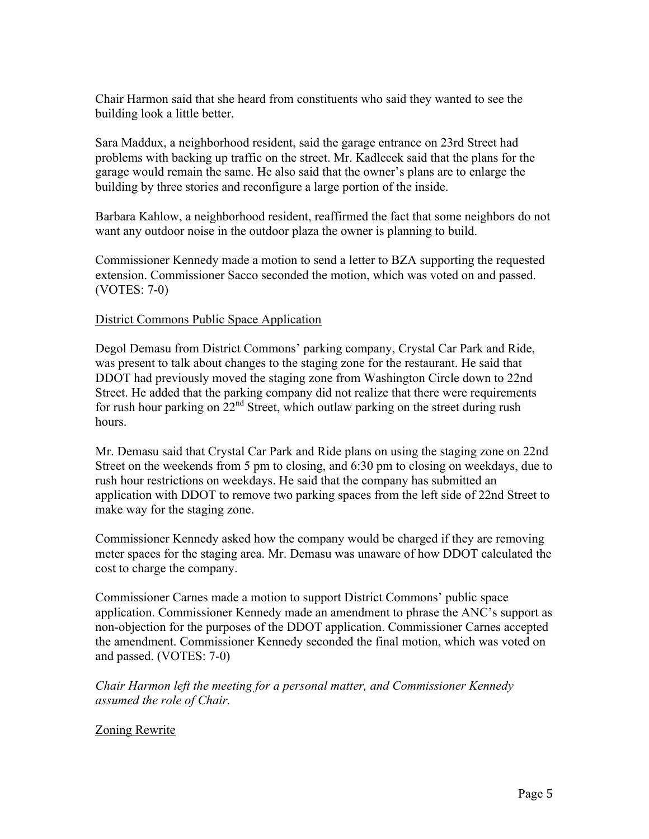Chair Harmon said that she heard from constituents who said they wanted to see the building look a little better.

Sara Maddux, a neighborhood resident, said the garage entrance on 23rd Street had problems with backing up traffic on the street. Mr. Kadlecek said that the plans for the garage would remain the same. He also said that the owner's plans are to enlarge the building by three stories and reconfigure a large portion of the inside.

Barbara Kahlow, a neighborhood resident, reaffirmed the fact that some neighbors do not want any outdoor noise in the outdoor plaza the owner is planning to build.

Commissioner Kennedy made a motion to send a letter to BZA supporting the requested extension. Commissioner Sacco seconded the motion, which was voted on and passed. (VOTES: 7-0)

### District Commons Public Space Application

Degol Demasu from District Commons' parking company, Crystal Car Park and Ride, was present to talk about changes to the staging zone for the restaurant. He said that DDOT had previously moved the staging zone from Washington Circle down to 22nd Street. He added that the parking company did not realize that there were requirements for rush hour parking on  $22<sup>nd</sup>$  Street, which outlaw parking on the street during rush hours.

Mr. Demasu said that Crystal Car Park and Ride plans on using the staging zone on 22nd Street on the weekends from 5 pm to closing, and 6:30 pm to closing on weekdays, due to rush hour restrictions on weekdays. He said that the company has submitted an application with DDOT to remove two parking spaces from the left side of 22nd Street to make way for the staging zone.

Commissioner Kennedy asked how the company would be charged if they are removing meter spaces for the staging area. Mr. Demasu was unaware of how DDOT calculated the cost to charge the company.

Commissioner Carnes made a motion to support District Commons' public space application. Commissioner Kennedy made an amendment to phrase the ANC's support as non-objection for the purposes of the DDOT application. Commissioner Carnes accepted the amendment. Commissioner Kennedy seconded the final motion, which was voted on and passed. (VOTES: 7-0)

*Chair Harmon left the meeting for a personal matter, and Commissioner Kennedy assumed the role of Chair.*

### Zoning Rewrite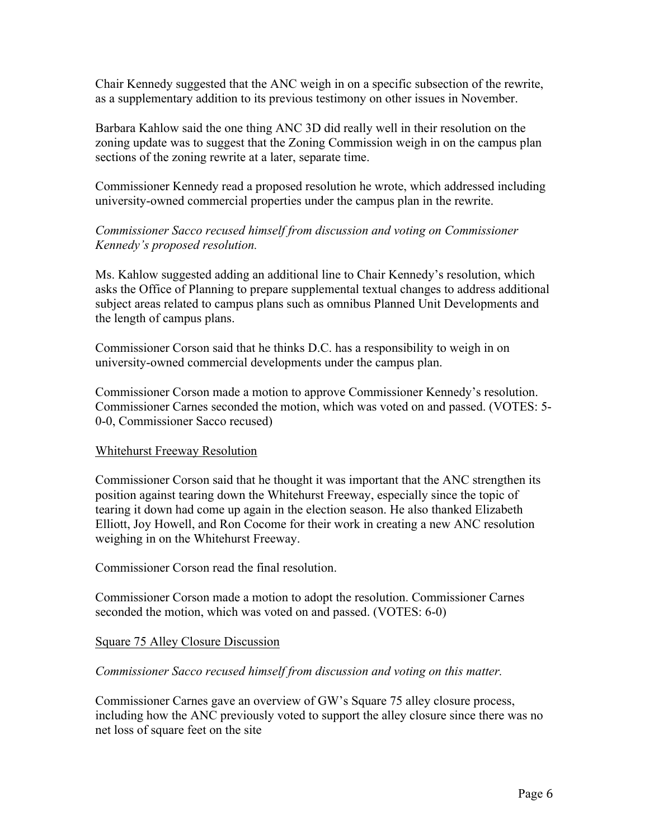Chair Kennedy suggested that the ANC weigh in on a specific subsection of the rewrite, as a supplementary addition to its previous testimony on other issues in November.

Barbara Kahlow said the one thing ANC 3D did really well in their resolution on the zoning update was to suggest that the Zoning Commission weigh in on the campus plan sections of the zoning rewrite at a later, separate time.

Commissioner Kennedy read a proposed resolution he wrote, which addressed including university-owned commercial properties under the campus plan in the rewrite.

## *Commissioner Sacco recused himself from discussion and voting on Commissioner Kennedy's proposed resolution.*

Ms. Kahlow suggested adding an additional line to Chair Kennedy's resolution, which asks the Office of Planning to prepare supplemental textual changes to address additional subject areas related to campus plans such as omnibus Planned Unit Developments and the length of campus plans.

Commissioner Corson said that he thinks D.C. has a responsibility to weigh in on university-owned commercial developments under the campus plan.

Commissioner Corson made a motion to approve Commissioner Kennedy's resolution. Commissioner Carnes seconded the motion, which was voted on and passed. (VOTES: 5- 0-0, Commissioner Sacco recused)

### Whitehurst Freeway Resolution

Commissioner Corson said that he thought it was important that the ANC strengthen its position against tearing down the Whitehurst Freeway, especially since the topic of tearing it down had come up again in the election season. He also thanked Elizabeth Elliott, Joy Howell, and Ron Cocome for their work in creating a new ANC resolution weighing in on the Whitehurst Freeway.

Commissioner Corson read the final resolution.

Commissioner Corson made a motion to adopt the resolution. Commissioner Carnes seconded the motion, which was voted on and passed. (VOTES: 6-0)

## Square 75 Alley Closure Discussion

### *Commissioner Sacco recused himself from discussion and voting on this matter.*

Commissioner Carnes gave an overview of GW's Square 75 alley closure process, including how the ANC previously voted to support the alley closure since there was no net loss of square feet on the site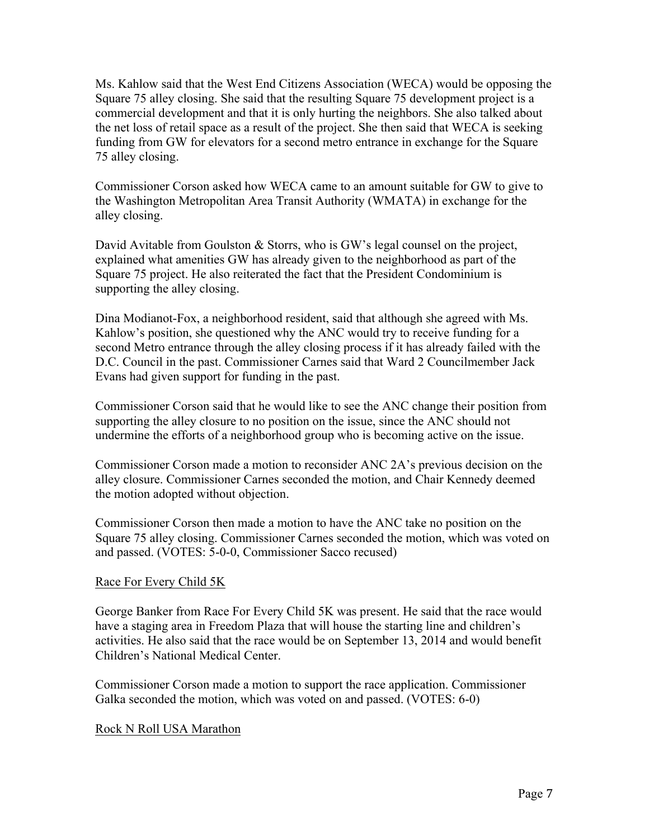Ms. Kahlow said that the West End Citizens Association (WECA) would be opposing the Square 75 alley closing. She said that the resulting Square 75 development project is a commercial development and that it is only hurting the neighbors. She also talked about the net loss of retail space as a result of the project. She then said that WECA is seeking funding from GW for elevators for a second metro entrance in exchange for the Square 75 alley closing.

Commissioner Corson asked how WECA came to an amount suitable for GW to give to the Washington Metropolitan Area Transit Authority (WMATA) in exchange for the alley closing.

David Avitable from Goulston & Storrs, who is GW's legal counsel on the project, explained what amenities GW has already given to the neighborhood as part of the Square 75 project. He also reiterated the fact that the President Condominium is supporting the alley closing.

Dina Modianot-Fox, a neighborhood resident, said that although she agreed with Ms. Kahlow's position, she questioned why the ANC would try to receive funding for a second Metro entrance through the alley closing process if it has already failed with the D.C. Council in the past. Commissioner Carnes said that Ward 2 Councilmember Jack Evans had given support for funding in the past.

Commissioner Corson said that he would like to see the ANC change their position from supporting the alley closure to no position on the issue, since the ANC should not undermine the efforts of a neighborhood group who is becoming active on the issue.

Commissioner Corson made a motion to reconsider ANC 2A's previous decision on the alley closure. Commissioner Carnes seconded the motion, and Chair Kennedy deemed the motion adopted without objection.

Commissioner Corson then made a motion to have the ANC take no position on the Square 75 alley closing. Commissioner Carnes seconded the motion, which was voted on and passed. (VOTES: 5-0-0, Commissioner Sacco recused)

### Race For Every Child 5K

George Banker from Race For Every Child 5K was present. He said that the race would have a staging area in Freedom Plaza that will house the starting line and children's activities. He also said that the race would be on September 13, 2014 and would benefit Children's National Medical Center.

Commissioner Corson made a motion to support the race application. Commissioner Galka seconded the motion, which was voted on and passed. (VOTES: 6-0)

### Rock N Roll USA Marathon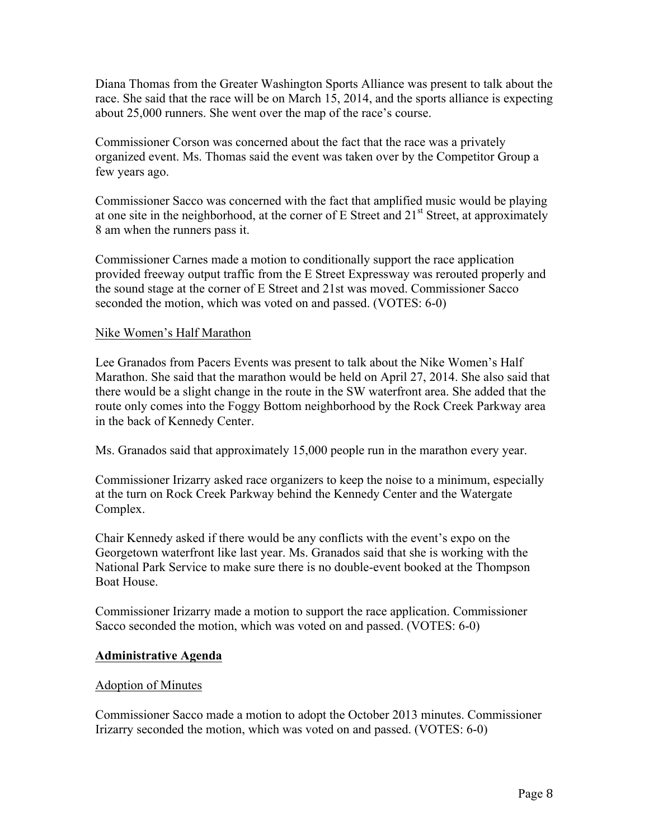Diana Thomas from the Greater Washington Sports Alliance was present to talk about the race. She said that the race will be on March 15, 2014, and the sports alliance is expecting about 25,000 runners. She went over the map of the race's course.

Commissioner Corson was concerned about the fact that the race was a privately organized event. Ms. Thomas said the event was taken over by the Competitor Group a few years ago.

Commissioner Sacco was concerned with the fact that amplified music would be playing at one site in the neighborhood, at the corner of E Street and  $21<sup>st</sup>$  Street, at approximately 8 am when the runners pass it.

Commissioner Carnes made a motion to conditionally support the race application provided freeway output traffic from the E Street Expressway was rerouted properly and the sound stage at the corner of E Street and 21st was moved. Commissioner Sacco seconded the motion, which was voted on and passed. (VOTES: 6-0)

### Nike Women's Half Marathon

Lee Granados from Pacers Events was present to talk about the Nike Women's Half Marathon. She said that the marathon would be held on April 27, 2014. She also said that there would be a slight change in the route in the SW waterfront area. She added that the route only comes into the Foggy Bottom neighborhood by the Rock Creek Parkway area in the back of Kennedy Center.

Ms. Granados said that approximately 15,000 people run in the marathon every year.

Commissioner Irizarry asked race organizers to keep the noise to a minimum, especially at the turn on Rock Creek Parkway behind the Kennedy Center and the Watergate Complex.

Chair Kennedy asked if there would be any conflicts with the event's expo on the Georgetown waterfront like last year. Ms. Granados said that she is working with the National Park Service to make sure there is no double-event booked at the Thompson Boat House.

Commissioner Irizarry made a motion to support the race application. Commissioner Sacco seconded the motion, which was voted on and passed. (VOTES: 6-0)

### **Administrative Agenda**

### Adoption of Minutes

Commissioner Sacco made a motion to adopt the October 2013 minutes. Commissioner Irizarry seconded the motion, which was voted on and passed. (VOTES: 6-0)